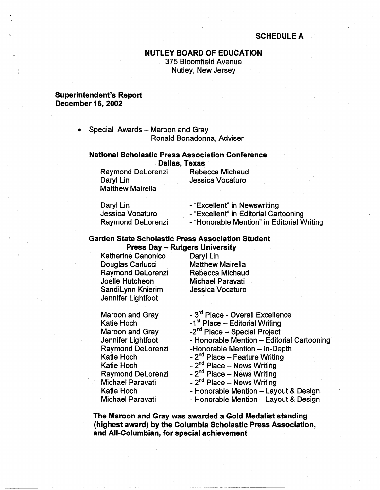## **SCHEDULE A**

# **NUTLEY BOARD OF EDUCATION**  375 Bloomfield Avenue Nutley, New Jersey

#### **Superintendent's Report December 16, 2002**

• Special Awards - Maroon and Gray Ronald Bonadonna, Adviser

#### **National Scholastic Press Association Conference Dallas, Texas**

Raymond DeLorenzi Rebecca Michaud Daryl Lin Jessica Vocaturo Matthew Mairella

| Daryl Lin                | - "Excellent" in Newswriting               |
|--------------------------|--------------------------------------------|
| Jessica Vocaturo         | - "Excellent" in Editorial Cartooning      |
| <b>Raymond DeLorenzi</b> | - "Honorable Mention" in Editorial Writing |

### **Garden State Scholastic Press Association Student Press Day** - **Rutgers University**

Katherine Canonico Daryl Lin Douglas Carlucci Raymond DeLorenzi Rebecca Michaud<br>Joelle Hutcheon Michael Paravati SandiLynn Knierim Jessica Vocaturo Jennifer Lightfoot

Michael Paravati

Maroon and Gray Katie Hoch Maroon and Gray Jennifer Lightfoot Raymond DeLorenzi Katie Hoch Katie Hoch Raymond DeLorenzi Michael Paravati Katie Hoch Michael Paravati - 3<sup>rd</sup> Place - Overall Excellence -1<sup>st</sup> Place - Editorial Writing -2<sup>nd</sup> Place -- Special Project - Honorable Mention - Editorial Cartooning -Honorable Mention - In-Depth  $-2<sup>nd</sup>$  Place - Feature Writing - 2<sup>nd</sup> Place - News Writing - 2<sup>nd</sup> Place - News Writing  $- 2<sup>nd</sup>$  Place - News Writing - Honorable Mention - Layout & Design - Honorable Mention - Layout & Design

**The Maroon and Gray was awarded a Gold Medalist standing (highest award) by the Columbia Scholastic Press Association, and All-Columbian, for special achievement**